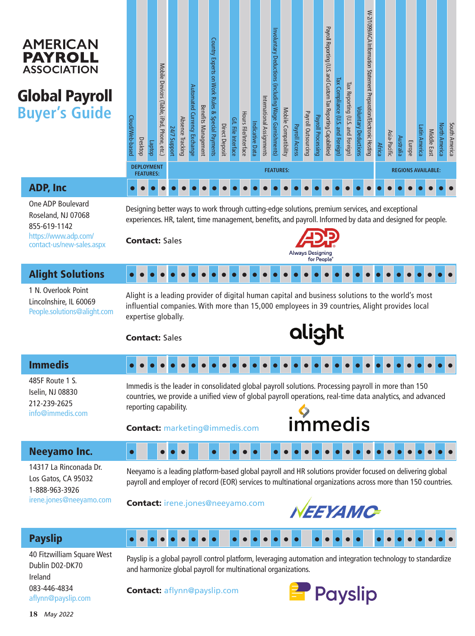#### **AMERICAN PAYROLL ASSOCIATION**

# Global Payroll **Buyer's Guide**

| Cloud/Web-based | Desktop                                                                                                                                                                                                                                                                                      | dotdey | Mobile Devices (Table, iPad, Phone, etc.) | 24/7 Support     | Absence Tracking | Automated Currency Exchange | <b>Benefits Management</b> | Country Experts on Work Rules<br>œ,<br>Special Payments | Direct Deposit | G/L File Interface | Hours File/Interface | Indicative Data | International Assignments | Involuntary Deductions (including Wage Garnishments | Mobile Compatibility | Payroll Access | Payroll Outsourcing | Payroll Processing | Payroll Reporting (U.S. and Custom Tax Reporting Capabilities) | Tax Compliance (U.S. and Foreign | Tax Reporting (U.S. and Foreign) | <b>Voluntary Deductions</b> | W-2/1099/ACA Information Statement Preparation/Electronic Hosting | <b>Africa</b> | Asia-Pacific | Australia | Europe | Latin America | Middle East | <b>North America</b> | South America |
|-----------------|----------------------------------------------------------------------------------------------------------------------------------------------------------------------------------------------------------------------------------------------------------------------------------------------|--------|-------------------------------------------|------------------|------------------|-----------------------------|----------------------------|---------------------------------------------------------|----------------|--------------------|----------------------|-----------------|---------------------------|-----------------------------------------------------|----------------------|----------------|---------------------|--------------------|----------------------------------------------------------------|----------------------------------|----------------------------------|-----------------------------|-------------------------------------------------------------------|---------------|--------------|-----------|--------|---------------|-------------|----------------------|---------------|
|                 | <b>DEPLOYMENT</b><br><b>FEATURES:</b>                                                                                                                                                                                                                                                        |        |                                           | <b>FEATURES:</b> |                  |                             |                            |                                                         |                |                    |                      |                 |                           |                                                     |                      |                |                     |                    | <b>REGIONS AVAILABLE:</b>                                      |                                  |                                  |                             |                                                                   |               |              |           |        |               |             |                      |               |
|                 |                                                                                                                                                                                                                                                                                              |        |                                           |                  |                  |                             |                            |                                                         |                |                    |                      |                 |                           |                                                     |                      |                |                     |                    |                                                                |                                  |                                  |                             |                                                                   |               |              |           |        |               |             |                      |               |
|                 | Designing better ways to work through cutting-edge solutions, premium services, and exceptional<br>experiences. HR, talent, time management, benefits, and payroll. Informed by data and designed for people.<br><b>Contact: Sales</b><br><b>Always Designing</b><br>for People <sup>®</sup> |        |                                           |                  |                  |                             |                            |                                                         |                |                    |                      |                 |                           |                                                     |                      |                |                     |                    |                                                                |                                  |                                  |                             |                                                                   |               |              |           |        |               |             |                      |               |
|                 |                                                                                                                                                                                                                                                                                              |        |                                           |                  |                  |                             |                            |                                                         |                |                    |                      |                 |                           |                                                     |                      |                |                     |                    |                                                                |                                  |                                  |                             |                                                                   |               |              |           |        |               |             |                      |               |
|                 | Alight is a leading provider of digital human capital and business solutions to the world's most<br>influential companies. With more than 15,000 employees in 39 countries, Alight provides local<br>expertise globally.<br>alight<br><b>Contact:</b> Sales                                  |        |                                           |                  |                  |                             |                            |                                                         |                |                    |                      |                 |                           |                                                     |                      |                |                     |                    |                                                                |                                  |                                  |                             |                                                                   |               |              |           |        |               |             |                      |               |

ADP, Inc

One ADP Boulevard Roseland, NJ 07068 855-619-1142 https://www.adp.com/ contact-us/new-sales.aspx

 $\bullet$  $\bullet$ 

 $\bullet$ 

 $\bullet$  $\bullet$  $\bullet$  $\bullet$  $\bullet$  $\bullet$  $\bullet$  $\bullet$ 

#### Alight Solutions

1 N. Overlook Point Lincolnshire, IL 60069 People.solutions@alight.com

 $\bullet$  $\bullet$  $\bullet$ 

#### Immedis

485F Route 1 S. Iselin, NJ 08830 212-239-2625 info@immedis.com

# alight

#### $\bullet$  $\bullet$  $\bullet$  $\bullet$  $\bullet$  $\bullet$  $\bullet$  $\bullet$  $\bullet$  $\bullet$  $\bullet$  $\bullet$  $\bullet$  $\bullet$  $\bullet$  $\bullet$  $\bullet$  $\bullet$  $\bullet$  $\bullet$  $\bullet$  $\bullet$

Immedis is the leader in consolidated global payroll solutions. Processing payroll in more than 150 countries, we provide a unified view of global payroll operations, real-time data analytics, and advanced reporting capability.

Contact: marketing@immedis.com

 $\bullet$ 

 $\bullet$  $\bullet$  $\bullet$ 

 $\bullet$  $\bullet$  $\bullet$  $\bullet$  $\bullet$  $\bullet$  $\bullet$ 



 $\bullet$  $\bullet$  $\bullet$  $\bullet$  $\bullet$  $\bullet$  $\bullet$  $\bullet$ 

 $\bullet$  $\bullet$  $\bullet$  $\bullet$  $\bullet$  $\bullet$  $\bullet$  $\bullet$ 

#### Neeyamo Inc.

14317 La Rinconada Dr. Los Gatos, CA 95032 1-888-963-3926 irene.jones@neeyamo.com

Neeyamo is a leading platform-based global payroll and HR solutions provider focused on delivering global payroll and employer of record (EOR) services to multinational organizations across more than 150 countries.

 $\bullet$  $\bullet$  $\bullet$  $\bullet$  $\bullet$  $\bullet$  $\bullet$  $\bullet$  $\bullet$  $\bullet$  $\bullet$  $\bullet$  $\bullet$  $\bullet$  $\bullet$  $\bullet$  $\bullet$  $\bullet$ 

Contact: irene.jones@neeyamo.com



 $\bullet$  $\bullet$  $\bullet$  $\bullet$  $\bullet$ 

### Payslip

40 Fitzwilliam Square West Dublin D02-DK70 Ireland 083-446-4834 aflynn@payslip.com

Payslip is a global payroll control platform, leveraging automation and integration technology to standardize and harmonize global payroll for multinational organizations.

Contact: aflynn@payslip.com